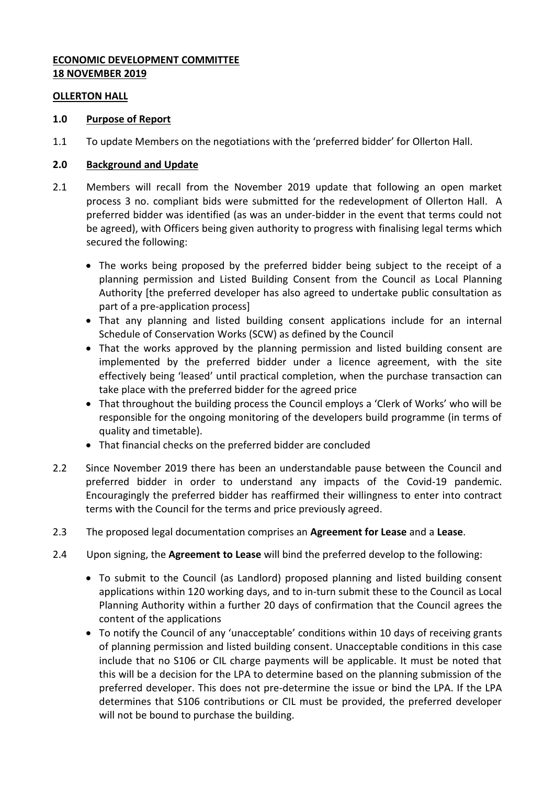## **ECONOMIC DEVELOPMENT COMMITTEE 18 NOVEMBER 2019**

#### **OLLERTON HALL**

### **1.0 Purpose of Report**

1.1 To update Members on the negotiations with the 'preferred bidder' for Ollerton Hall.

#### **2.0 Background and Update**

- 2.1 Members will recall from the November 2019 update that following an open market process 3 no. compliant bids were submitted for the redevelopment of Ollerton Hall. A preferred bidder was identified (as was an under-bidder in the event that terms could not be agreed), with Officers being given authority to progress with finalising legal terms which secured the following:
	- The works being proposed by the preferred bidder being subject to the receipt of a planning permission and Listed Building Consent from the Council as Local Planning Authority [the preferred developer has also agreed to undertake public consultation as part of a pre-application process]
	- That any planning and listed building consent applications include for an internal Schedule of Conservation Works (SCW) as defined by the Council
	- That the works approved by the planning permission and listed building consent are implemented by the preferred bidder under a licence agreement, with the site effectively being 'leased' until practical completion, when the purchase transaction can take place with the preferred bidder for the agreed price
	- That throughout the building process the Council employs a 'Clerk of Works' who will be responsible for the ongoing monitoring of the developers build programme (in terms of quality and timetable).
	- That financial checks on the preferred bidder are concluded
- 2.2 Since November 2019 there has been an understandable pause between the Council and preferred bidder in order to understand any impacts of the Covid-19 pandemic. Encouragingly the preferred bidder has reaffirmed their willingness to enter into contract terms with the Council for the terms and price previously agreed.
- 2.3 The proposed legal documentation comprises an **Agreement for Lease** and a **Lease**.
- 2.4 Upon signing, the **Agreement to Lease** will bind the preferred develop to the following:
	- To submit to the Council (as Landlord) proposed planning and listed building consent applications within 120 working days, and to in-turn submit these to the Council as Local Planning Authority within a further 20 days of confirmation that the Council agrees the content of the applications
	- To notify the Council of any 'unacceptable' conditions within 10 days of receiving grants of planning permission and listed building consent. Unacceptable conditions in this case include that no S106 or CIL charge payments will be applicable. It must be noted that this will be a decision for the LPA to determine based on the planning submission of the preferred developer. This does not pre-determine the issue or bind the LPA. If the LPA determines that S106 contributions or CIL must be provided, the preferred developer will not be bound to purchase the building.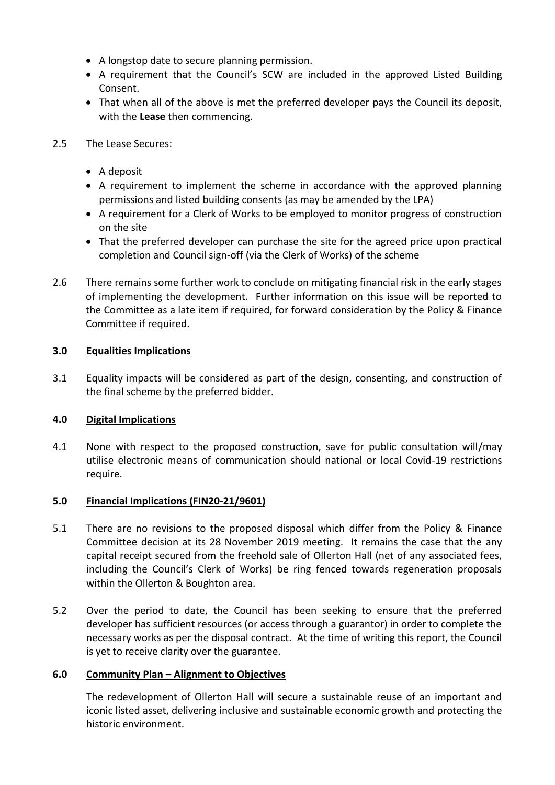- A longstop date to secure planning permission.
- A requirement that the Council's SCW are included in the approved Listed Building Consent.
- That when all of the above is met the preferred developer pays the Council its deposit, with the **Lease** then commencing.
- 2.5 The Lease Secures:
	- A deposit
	- A requirement to implement the scheme in accordance with the approved planning permissions and listed building consents (as may be amended by the LPA)
	- A requirement for a Clerk of Works to be employed to monitor progress of construction on the site
	- That the preferred developer can purchase the site for the agreed price upon practical completion and Council sign-off (via the Clerk of Works) of the scheme
- 2.6 There remains some further work to conclude on mitigating financial risk in the early stages of implementing the development. Further information on this issue will be reported to the Committee as a late item if required, for forward consideration by the Policy & Finance Committee if required.

# **3.0 Equalities Implications**

3.1 Equality impacts will be considered as part of the design, consenting, and construction of the final scheme by the preferred bidder.

### **4.0 Digital Implications**

4.1 None with respect to the proposed construction, save for public consultation will/may utilise electronic means of communication should national or local Covid-19 restrictions require.

### **5.0 Financial Implications (FIN20-21/9601)**

- 5.1 There are no revisions to the proposed disposal which differ from the Policy & Finance Committee decision at its 28 November 2019 meeting. It remains the case that the any capital receipt secured from the freehold sale of Ollerton Hall (net of any associated fees, including the Council's Clerk of Works) be ring fenced towards regeneration proposals within the Ollerton & Boughton area.
- 5.2 Over the period to date, the Council has been seeking to ensure that the preferred developer has sufficient resources (or access through a guarantor) in order to complete the necessary works as per the disposal contract. At the time of writing this report, the Council is yet to receive clarity over the guarantee.

### **6.0 Community Plan – Alignment to Objectives**

The redevelopment of Ollerton Hall will secure a sustainable reuse of an important and iconic listed asset, delivering inclusive and sustainable economic growth and protecting the historic environment.